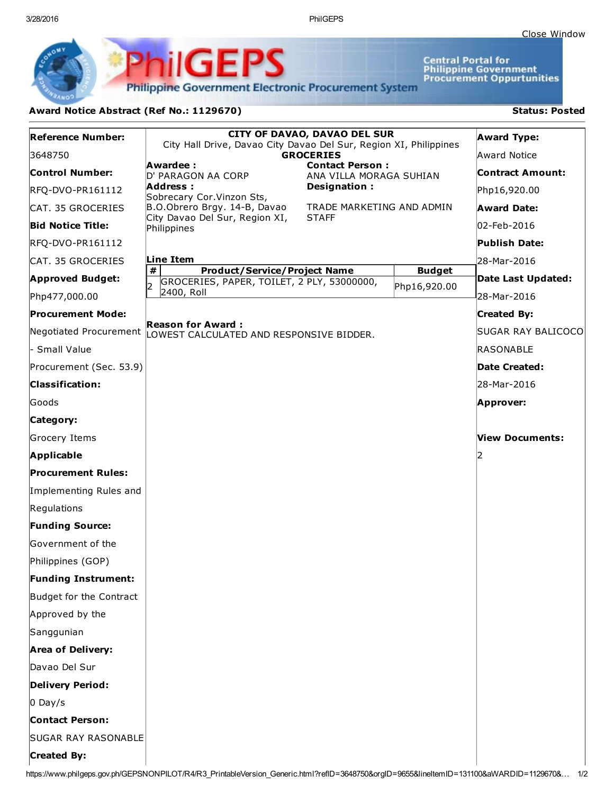3/28/2016 PhilGEPS

**Central Portal for<br>Philippine Government<br>Procurement Oppurtunities** 

**Philippine Government Electronic Procurement System** 

**PhilGEPS** 

## Award Notice Abstract (Ref No.: 1129670) Status: Posted

| CITY OF DAVAO, DAVAO DEL SUR<br><b>Reference Number:</b><br><b>Award Type:</b> |                                                                                       |                                           |               |                         |
|--------------------------------------------------------------------------------|---------------------------------------------------------------------------------------|-------------------------------------------|---------------|-------------------------|
| 3648750                                                                        | City Hall Drive, Davao City Davao Del Sur, Region XI, Philippines<br><b>GROCERIES</b> |                                           |               | <b>Award Notice</b>     |
| <b>Control Number:</b>                                                         | Awardee:                                                                              | <b>Contact Person:</b>                    |               | <b>Contract Amount:</b> |
|                                                                                | D' PARAGON AA CORP<br><b>Address:</b>                                                 | ANA VILLA MORAGA SUHIAN<br>Designation:   |               |                         |
| RFQ-DVO-PR161112                                                               | Sobrecary Cor. Vinzon Sts,                                                            |                                           |               | Php16,920.00            |
| CAT. 35 GROCERIES                                                              | B.O.Obrero Brgy. 14-B, Davao<br>City Davao Del Sur, Region XI,                        | TRADE MARKETING AND ADMIN<br><b>STAFF</b> |               | <b>Award Date:</b>      |
| <b>Bid Notice Title:</b>                                                       | Philippines                                                                           |                                           |               | l02-Feb-2016            |
| RFQ-DVO-PR161112                                                               |                                                                                       |                                           |               | Publish Date:           |
| CAT. 35 GROCERIES                                                              | Line Item<br>#<br><b>Product/Service/Project Name</b>                                 |                                           | <b>Budget</b> | 28-Mar-2016             |
| <b>Approved Budget:</b>                                                        | GROCERIES, PAPER, TOILET, 2 PLY, 53000000,                                            |                                           | Php16,920.00  | Date Last Updated:      |
| Php477,000.00                                                                  | 2400, Roll                                                                            |                                           |               | 28-Mar-2016             |
| <b>Procurement Mode:</b>                                                       | <b>Reason for Award :</b>                                                             |                                           |               | <b>Created By:</b>      |
|                                                                                | Negotiated Procurement LOWEST CALCULATED AND RESPONSIVE BIDDER.                       |                                           |               | SUGAR RAY BALICOCO      |
| - Small Value                                                                  |                                                                                       |                                           |               | RASONABLE               |
| Procurement (Sec. 53.9)                                                        |                                                                                       |                                           |               | Date Created:           |
| <b>Classification:</b>                                                         |                                                                                       |                                           |               | 28-Mar-2016             |
| Goods                                                                          |                                                                                       |                                           |               | Approver:               |
| Category:                                                                      |                                                                                       |                                           |               |                         |
| Grocery Items                                                                  |                                                                                       |                                           |               | <b>View Documents:</b>  |
| <b>Applicable</b>                                                              |                                                                                       |                                           |               |                         |
| <b>Procurement Rules:</b>                                                      |                                                                                       |                                           |               |                         |
| Implementing Rules and                                                         |                                                                                       |                                           |               |                         |
| Regulations                                                                    |                                                                                       |                                           |               |                         |
| <b>Funding Source:</b>                                                         |                                                                                       |                                           |               |                         |
| Government of the                                                              |                                                                                       |                                           |               |                         |
| Philippines (GOP)                                                              |                                                                                       |                                           |               |                         |
| <b>Funding Instrument:</b>                                                     |                                                                                       |                                           |               |                         |
| Budget for the Contract                                                        |                                                                                       |                                           |               |                         |
| Approved by the                                                                |                                                                                       |                                           |               |                         |
| Sanggunian                                                                     |                                                                                       |                                           |               |                         |
| <b>Area of Delivery:</b>                                                       |                                                                                       |                                           |               |                         |
| Davao Del Sur                                                                  |                                                                                       |                                           |               |                         |
| Delivery Period:                                                               |                                                                                       |                                           |               |                         |
| $0$ Day/s                                                                      |                                                                                       |                                           |               |                         |
| <b>Contact Person:</b>                                                         |                                                                                       |                                           |               |                         |
| <b>SUGAR RAY RASONABLE</b>                                                     |                                                                                       |                                           |               |                         |
| <b>Created By:</b>                                                             |                                                                                       |                                           |               |                         |
|                                                                                |                                                                                       |                                           |               |                         |